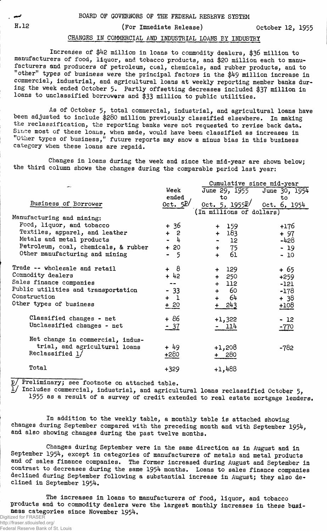H.12 (For Immediate Release) 0ctober 12, 1955

## CHARGES IN COMMERCIAL AND INDUSTRIAL LOAMS BY INDUSTRY

Increases of \$42 million in loans to commodity dealers, \$36 million to manufacturers of food, liquor, and tobacco products, and \$20 million each to manufacturers and producers of petroleum, coal, chemicals, and rubber products, and to "other" types of business were the principal factors in the \$49 million increase in commercial, industrial, and agricultural loans at weekly reporting member banks during the week ended October 5. Partly offsetting decreases included \$37 million in loans to unclassified borrowers and **\$33** million to public utilities.

As of October 5, total commercial, industrial, and agricultural loans have been adjusted to include \$280 million previously classified elsewhere. In making the reclassification, the reporting banks were not requested to revise back data. Since most of these loans, when made, would have been classified as increases in "Other types of business," future reports may show a minus bias in this business category when these loans are repaid.

Changes in loans during the week and since the mid-year are shown below; the third column shows the changes during the comparable period last year:

|                                      | Cumulative since mid-year |                          |               |  |  |  |  |  |
|--------------------------------------|---------------------------|--------------------------|---------------|--|--|--|--|--|
|                                      | Week                      | June 29, 1955            | June 30, 1954 |  |  |  |  |  |
|                                      | ended                     | to                       | to            |  |  |  |  |  |
| Business of Borrower                 | Oct. $5P/$                | 0ct. 5, 1955P            | Oct. 6, 1954  |  |  |  |  |  |
|                                      |                           | (In millions of dollars) |               |  |  |  |  |  |
| Manufacturing and mining:            |                           |                          |               |  |  |  |  |  |
| Food, liquor, and tobacco            | $+36$                     | 159<br>$+$               | $+176$        |  |  |  |  |  |
| Textiles, apparel, and leather       | $+2$                      | $+ 183$                  | $+97$         |  |  |  |  |  |
| Metals and metal products            | $-\frac{1}{4}$            | $-12$                    | -428          |  |  |  |  |  |
| Petroleum, coal, chemicals, & rubber | $+20$                     | $+ 75$                   | $-19$         |  |  |  |  |  |
| Other manufacturing and mining       | - 5                       | 61<br>$+$                | $-10$         |  |  |  |  |  |
| Trade -- wholesale and retail        | $-8$<br>$+$               | 129<br>$+$               | $+65$         |  |  |  |  |  |
| Commodity dealers                    | $+ 42$                    | $+ 250$                  | $+259$        |  |  |  |  |  |
| Sales finance companies              | --                        | $+$ 112                  | $-121$        |  |  |  |  |  |
| Public utilities and transportation  | $-33$                     | + 60                     | $-178$        |  |  |  |  |  |
| Construction                         | $+$ 1                     | 64<br>$\ddot{}$          | + 38          |  |  |  |  |  |
| Other types of business              | $+20$                     | 243                      | $+108$        |  |  |  |  |  |
| Classified changes - net             | $+86$                     | +1,322                   | $-12$         |  |  |  |  |  |
| Unclassified changes - net           | <u>- 37</u>               | - 114                    | -770          |  |  |  |  |  |
|                                      |                           |                          |               |  |  |  |  |  |
| Net change in commercial, indus-     |                           |                          |               |  |  |  |  |  |
| trial, and agricultural loans        | + 49                      | $+1,208$                 | -782          |  |  |  |  |  |
| Reclassified 1/                      | $+280$                    | + 280                    |               |  |  |  |  |  |
| Total                                | $+329$                    | $+1,488$                 |               |  |  |  |  |  |

p/ Preliminary; see footnote on attached table.

 $\frac{1}{2}$  Includes commercial, industrial, and agricultural loans reclassified October 5, 1955 as a result of a survey of credit extended to real estate mortgage lenders.

In addition to the weekly table, a monthly table is attached showing changes during September compared with the preceding month and with September 1954, and also showing changes during the past twelve months.

Changes during September were in the same direction as in August and in September 1954, except in categories of manufacturers of metals and metal products and of sales finance companies. The former increased during August and September in contrast to decreases during the same 1954 months. Loans to sales finance companies declined during September following a substantial increase in August; they also declined in September 1954.

The increases in loans to manufacturers of food, liquor, and tobacco products and to commodity dealers were the largest monthly increases in these business categories since November 1954.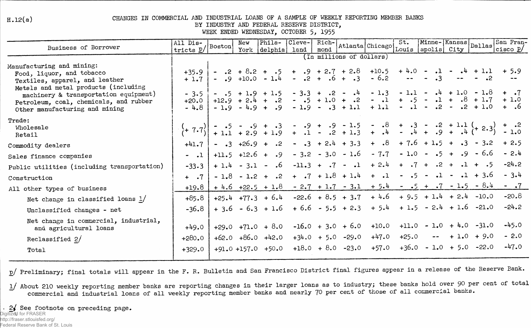$H.12(a)$ 

## CHANGES IN COMMERCIAL AND INDUSTRIAL LOANS OF A SAMPLE OF WEEKLY REPORTING MEMBER BANKS

BY INDUSTRY AND FEDERAL RESERVE DISTRICT,

WEEK ENDED WEDNESDAY, OCTOBER 5, 1955

| Business of Borrower                                                                                                                                      | All Dis-<br>tricts $\underline{p}/\left  \text{Boston} \right $ | New<br>York | Phila-<br>delphia      | Cleve-<br>land | Rich-<br>mond |                                                                                                                                                                                                                | Atlanta Chicago Louis apolis City | St.     | Minne-Kansas Dallas |              | San Fran-<br>cisco $p/$                                                                                                                                                                   |
|-----------------------------------------------------------------------------------------------------------------------------------------------------------|-----------------------------------------------------------------|-------------|------------------------|----------------|---------------|----------------------------------------------------------------------------------------------------------------------------------------------------------------------------------------------------------------|-----------------------------------|---------|---------------------|--------------|-------------------------------------------------------------------------------------------------------------------------------------------------------------------------------------------|
|                                                                                                                                                           |                                                                 |             |                        |                |               | (In millions of dollars)                                                                                                                                                                                       |                                   |         |                     |              |                                                                                                                                                                                           |
| Manufacturing and mining:<br>Food, liquor, and tobacco<br>Textiles, apparel, and leather                                                                  | $+35.9$ i<br>$+1.7$                                             |             |                        |                |               | - .2 + 8.2 + .5 + .9 + 2.7 + 2.8 + 10.5 + 4.0 - .1 - .4 + 1.1 + 5.9<br>$ +10.0 - 1.4 - 0.2 + 0.6 + 0.2 - 0.2$ $   -$ 3                                                                                         |                                   |         |                     |              |                                                                                                                                                                                           |
| Metals and metal products (including<br>machinery & transportation equipment)<br>Petroleum, coal, chemicals, and rubber<br>Other manufacturing and mining | $-3.5$<br>$+20.0$<br>$-4.8$                                     |             |                        |                |               | $-$ .5 + 1.9 + 1.5 - 3.3 + .2 - .4 - 1.3 - 1.1 - .4 + 1.0 - 1.8 + .7<br>$+12.9 + 2.4 + .2 - .5 + 1.0 + .2 - .1 + .5 - .1 + .8 + 1.7 + 1.0$<br>-1.9 - 4.9 + .9 - 1.9 - .3 + 1.1 + 1.1 - .1 - .2 - .2 + 1.0 + .6 |                                   |         |                     |              |                                                                                                                                                                                           |
| Trade:<br>Wholesale<br>Retail                                                                                                                             | $\left( + 7.7 \right)$                                          |             |                        |                |               |                                                                                                                                                                                                                |                                   |         |                     |              | - $-5$ - $-9$ + $-3$ - $-9$ + $-9$ - $1.5$ - $-8$ + $-3$ - $-2$ + $1.1$ (+ $2.3$ ) + $-2$<br>+ $1.1$ + $2.9$ + $1.9$ + $-1$ - $-2$ + $1.3$ + $-4$ - $-4$ + $-9$ + $-4$ (+ $2.3$ ) - $1.0$ |
| Commodity dealers                                                                                                                                         | $+41.7$                                                         |             |                        |                |               | - .3 +26.9 + .2 - .3 + 2.4 + 3.3 + .8 + 7.6 + 1.5 + .3 - 3.2 + 2.5                                                                                                                                             |                                   |         |                     |              |                                                                                                                                                                                           |
| Sales finance companies                                                                                                                                   | $-1$                                                            |             |                        |                |               | $+11.5$ $+12.6$ + .9 - 3.2 - 3.0 - 1.6 - 7.7 - 1.0 - .5 + .9 - 6.6 - 2.4                                                                                                                                       |                                   |         |                     |              |                                                                                                                                                                                           |
| Public utilities (including transportation)                                                                                                               | $-33.3$                                                         |             |                        |                |               | $+1.4 - 3.1 - .6 -11.3 + .7 - .1 + 2.4 + .7 + .2 + .1 + .5$                                                                                                                                                    |                                   |         |                     |              | $-24.2$                                                                                                                                                                                   |
| Construction                                                                                                                                              | $+$ $\cdot 7$                                                   |             |                        |                |               | $-1.8 - 1.2 + .2 + .7 + 1.8 + 1.4 + .1 - .5 - .1 - .1 + 3.6$                                                                                                                                                   |                                   |         |                     |              | $-3.4$                                                                                                                                                                                    |
| All other types of business                                                                                                                               | $+19.8$                                                         |             |                        |                |               |                                                                                                                                                                                                                |                                   |         |                     |              | $+4.6$ +22.5 + 1.8 - 2.7 + 1.7 - 3.1 + 5.4 - .5 + .7 - 1.5 - 8.4 - .7                                                                                                                     |
| Net change in classified loans $1/$                                                                                                                       | $+85.8$                                                         |             | $+25.4$ $+77.3$ $+6.4$ |                |               | $-22.6 + 8.5 + 3.7 + 4.6 + 9.5 + 1.4 + 2.4 - 10.0$                                                                                                                                                             |                                   |         |                     |              | $-20.8$                                                                                                                                                                                   |
| Unclassified changes - net                                                                                                                                | $-36.8$                                                         |             |                        |                |               | $+3.6 - 6.3 + 1.6 + 6.6 - 5.5 + 2.3 + 5.4 + 1.5 - 2.4 + 1.6 -21.0$                                                                                                                                             |                                   |         |                     |              | $-24.2$                                                                                                                                                                                   |
| Net change in commercial, industrial,<br>and agricultural loans                                                                                           | $+49.0$                                                         |             | $+29.0 +71.0 + 8.0$    |                |               | $-16.0 + 3.0 + 6.0 + 10.0 + 11.0 - 1.0 + 4.0 - 31.0$                                                                                                                                                           |                                   |         |                     |              | $-45.0$                                                                                                                                                                                   |
| Reclassified $2/$                                                                                                                                         | $+280.0$                                                        |             | $+62.0 +86.0 +42.0$    |                |               | $+34.0 + 5.0 -29.0$                                                                                                                                                                                            | $+47.0$                           | $+25.0$ | $\sim$ $\sim$       | $+1.0 + 9.0$ | $-2.0$                                                                                                                                                                                    |
| Total                                                                                                                                                     | $+329.0$                                                        |             |                        |                |               | $+91.0 +157.0 +50.0 +18.0 +8.0 -23.0 +57.0 +36.0 -1.0 +5.0 -22.0$                                                                                                                                              |                                   |         |                     |              | $-47.0$                                                                                                                                                                                   |

p/ Preliminary; final totals will appear in the F. R. Bulletin and San Francisco District final figures appear in a release of the Reserve Bank.

1/ About 210 weekly reporting member banks are reporting changes in their larger loans as to industry; these banks hold over 90 per cent of total commercial and industrial loans of all weekly reporting member banks and nearly 70 per cent of those of all commercial banks.

. 2√ See footnote on preceding page. Digitized for FRASER

http://fraser.stlouisfed.org/

Federal Reserve Bank of St. Louis